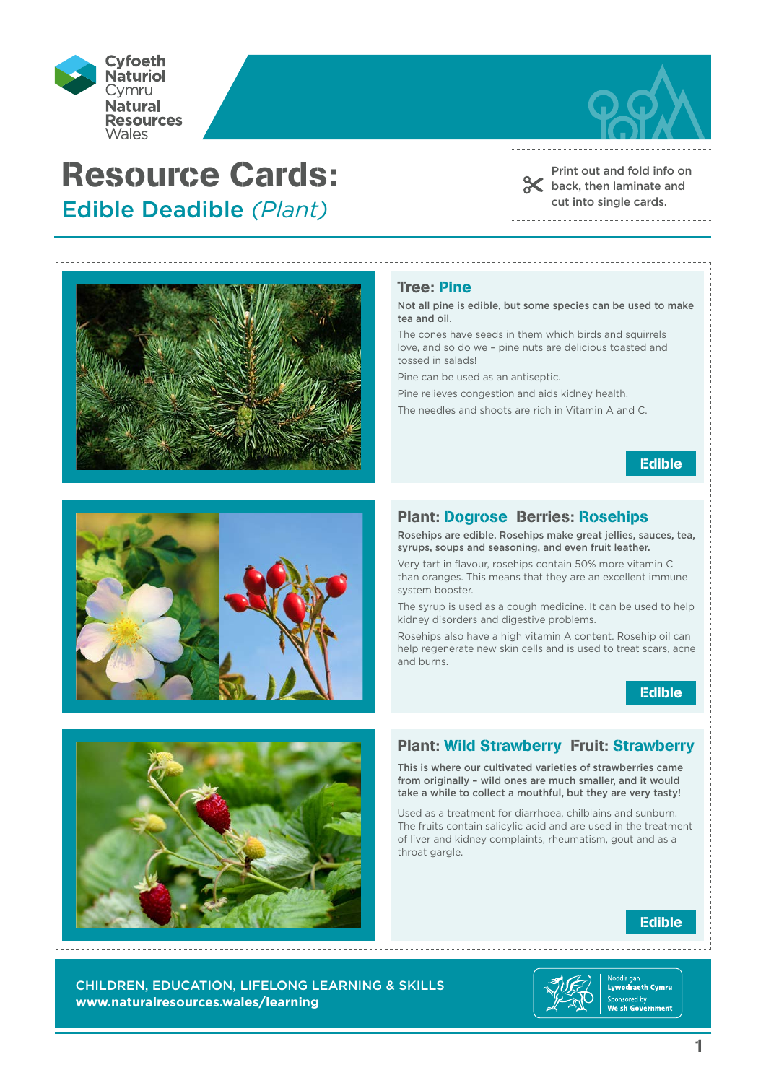



Print out and fold info on back, then laminate and cut into single cards.



# Tree: Pine

Not all pine is edible, but some species can be used to make tea and oil.

The cones have seeds in them which birds and squirrels love, and so do we – pine nuts are delicious toasted and tossed in salads!

Pine can be used as an antiseptic.

Pine relieves congestion and aids kidney health.

The needles and shoots are rich in Vitamin A and C.

Edible



## Plant: Dogrose Berries: Rosehips

Rosehips are edible. Rosehips make great jellies, sauces, tea, syrups, soups and seasoning, and even fruit leather.

Very tart in flavour, rosehips contain 50% more vitamin C than oranges. This means that they are an excellent immune system booster.

The syrup is used as a cough medicine. It can be used to help kidney disorders and digestive problems.

Rosehips also have a high vitamin A content. Rosehip oil can help regenerate new skin cells and is used to treat scars, acne and burns.





# Plant: Wild Strawberry Fruit: Strawberry

This is where our cultivated varieties of strawberries came from originally – wild ones are much smaller, and it would take a while to collect a mouthful, but they are very tasty!

Used as a treatment for diarrhoea, chilblains and sunburn. The fruits contain salicylic acid and are used in the treatment of liver and kidney complaints, rheumatism, gout and as a throat gargle.

# Edible

CHILDREN, EDUCATION, LIFELONG LEARNING & SKILLS **www.naturalresources.wales/learning**

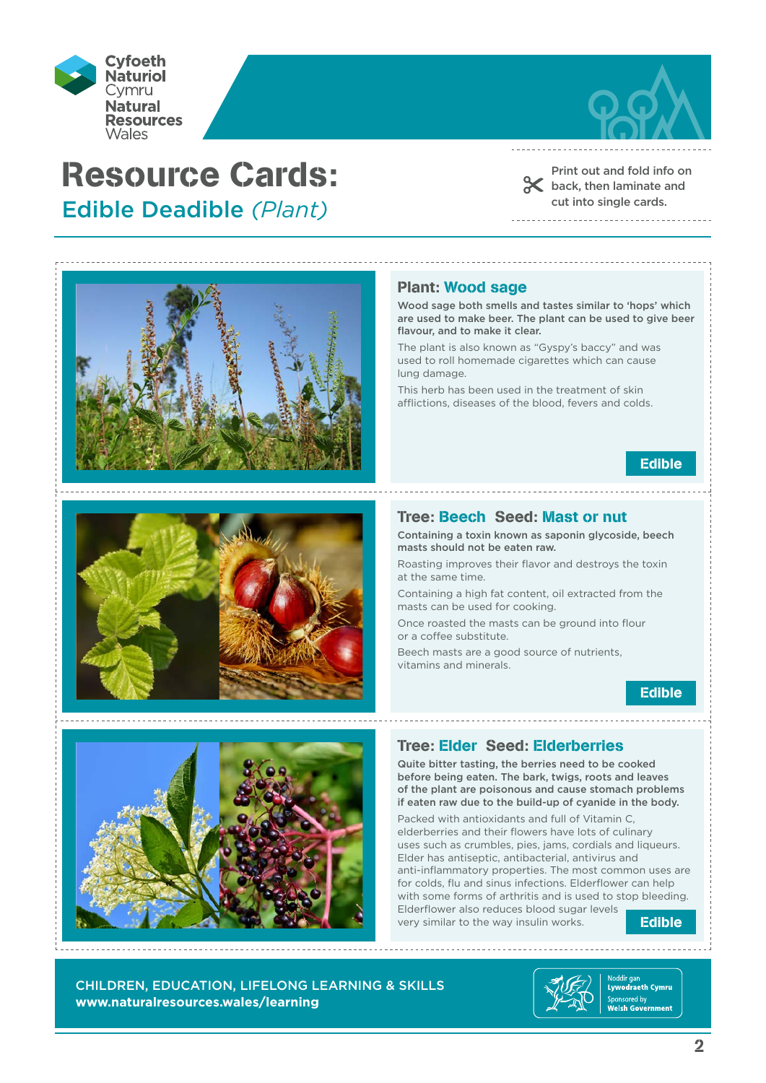



Print out and fold info on back, then laminate and cut into single cards.





#### Plant: Wood sage

Wood sage both smells and tastes similar to 'hops' which are used to make beer. The plant can be used to give beer flavour, and to make it clear.

The plant is also known as "Gyspy's baccy" and was used to roll homemade cigarettes which can cause lung damage.

This herb has been used in the treatment of skin afflictions, diseases of the blood, fevers and colds.



## Tree: Beech Seed: Mast or nut

Containing a toxin known as saponin glycoside, beech masts should not be eaten raw.

Roasting improves their flavor and destroys the toxin at the same time.

Containing a high fat content, oil extracted from the masts can be used for cooking.

Once roasted the masts can be ground into flour or a coffee substitute.

Beech masts are a good source of nutrients, vitamins and minerals.





Quite bitter tasting, the berries need to be cooked before being eaten. The bark, twigs, roots and leaves of the plant are poisonous and cause stomach problems if eaten raw due to the build-up of cyanide in the body.

Packed with antioxidants and full of Vitamin C, elderberries and their flowers have lots of culinary uses such as crumbles, pies, jams, cordials and liqueurs. Elder has antiseptic, antibacterial, antivirus and anti-inflammatory properties. The most common uses are for colds, flu and sinus infections. Elderflower can help with some forms of arthritis and is used to stop bleeding. Elderflower also reduces blood sugar levels very similar to the way insulin works.

Edible

CHILDREN, EDUCATION, LIFELONG LEARNING & SKILLS **www.naturalresources.wales/learning**

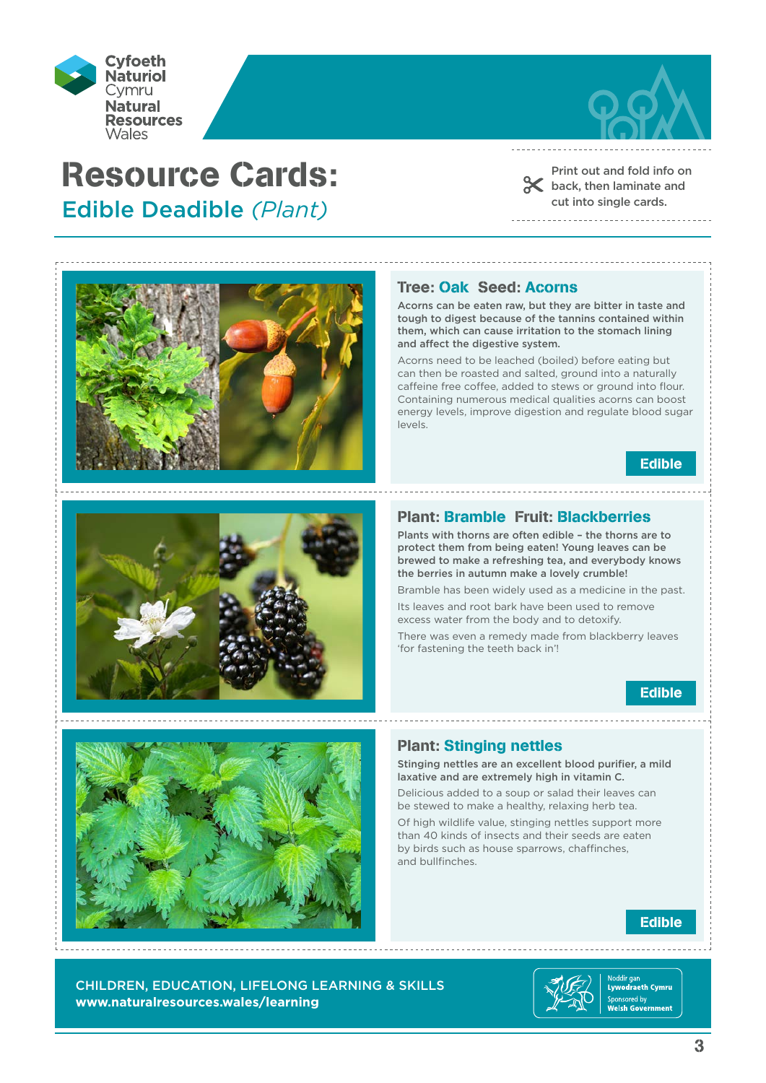



Print out and fold info on shack, then laminate and cut into single cards.





#### Tree: Oak Seed: Acorns

Acorns can be eaten raw, but they are bitter in taste and tough to digest because of the tannins contained within them, which can cause irritation to the stomach lining and affect the digestive system.

Acorns need to be leached (boiled) before eating but can then be roasted and salted, ground into a naturally caffeine free coffee, added to stews or ground into flour. Containing numerous medical qualities acorns can boost energy levels, improve digestion and regulate blood sugar levels.

Edible

## Plant: Bramble Fruit: Blackberries

Plants with thorns are often edible – the thorns are to protect them from being eaten! Young leaves can be brewed to make a refreshing tea, and everybody knows the berries in autumn make a lovely crumble!

Bramble has been widely used as a medicine in the past. Its leaves and root bark have been used to remove

excess water from the body and to detoxify.

There was even a remedy made from blackberry leaves 'for fastening the teeth back in'!





# Plant: Stinging nettles

Stinging nettles are an excellent blood purifier, a mild laxative and are extremely high in vitamin C.

Delicious added to a soup or salad their leaves can be stewed to make a healthy, relaxing herb tea.

Of high wildlife value, stinging nettles support more than 40 kinds of insects and their seeds are eaten by birds such as house sparrows, chaffinches, and bullfinches.

# Edible

CHILDREN, EDUCATION, LIFELONG LEARNING & SKILLS **www.naturalresources.wales/learning**

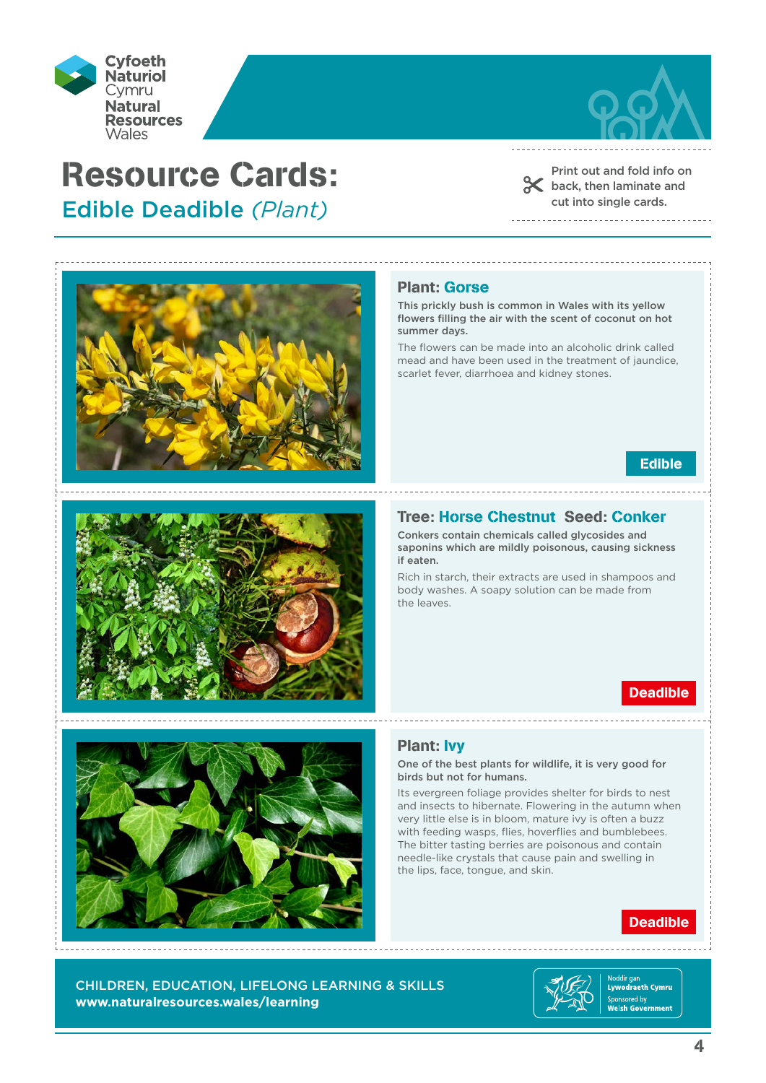



Print out and fold info on shack, then laminate and cut into single cards.





#### Plant: Gorse

This prickly bush is common in Wales with its yellow flowers filling the air with the scent of coconut on hot summer days.

The flowers can be made into an alcoholic drink called mead and have been used in the treatment of jaundice, scarlet fever, diarrhoea and kidney stones.



## Tree: Horse Chestnut Seed: Conker

Conkers contain chemicals called glycosides and saponins which are mildly poisonous, causing sickness if eaten.

Rich in starch, their extracts are used in shampoos and body washes. A soapy solution can be made from the leaves.

# Deadible



## Plant: Ivy

One of the best plants for wildlife, it is very good for birds but not for humans.

Its evergreen foliage provides shelter for birds to nest and insects to hibernate. Flowering in the autumn when very little else is in bloom, mature ivy is often a buzz with feeding wasps, flies, hoverflies and bumblebees. The bitter tasting berries are poisonous and contain needle-like crystals that cause pain and swelling in the lips, face, tongue, and skin.

# Deadible

CHILDREN, EDUCATION, LIFELONG LEARNING & SKILLS **www.naturalresources.wales/learning**

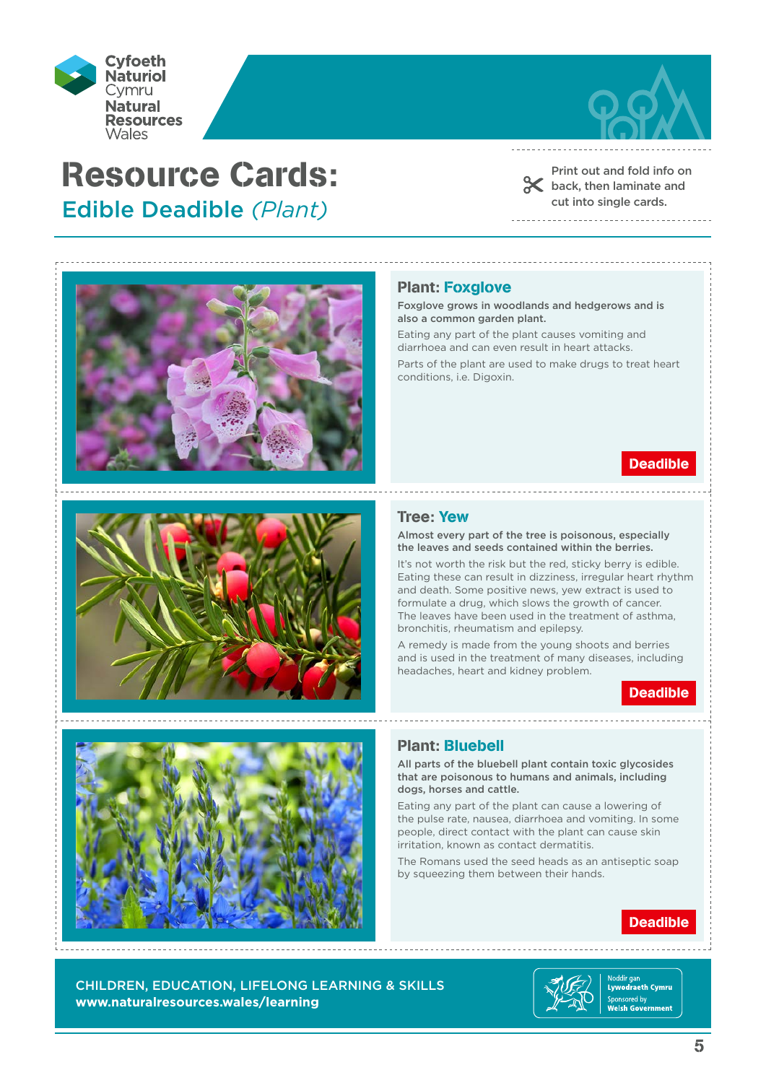



Print out and fold info on

shack, then laminate and cut into single cards. 





#### Plant: Foxglove

Foxglove grows in woodlands and hedgerows and is also a common garden plant.

Eating any part of the plant causes vomiting and diarrhoea and can even result in heart attacks.

Parts of the plant are used to make drugs to treat heart conditions, i.e. Digoxin.

## Deadible

#### Tree: Yew

Almost every part of the tree is poisonous, especially the leaves and seeds contained within the berries.

It's not worth the risk but the red, sticky berry is edible. Eating these can result in dizziness, irregular heart rhythm and death. Some positive news, yew extract is used to formulate a drug, which slows the growth of cancer. The leaves have been used in the treatment of asthma, bronchitis, rheumatism and epilepsy.

A remedy is made from the young shoots and berries and is used in the treatment of many diseases, including headaches, heart and kidney problem.





## Plant: Bluebell

All parts of the bluebell plant contain toxic glycosides that are poisonous to humans and animals, including dogs, horses and cattle.

Eating any part of the plant can cause a lowering of the pulse rate, nausea, diarrhoea and vomiting. In some people, direct contact with the plant can cause skin irritation, known as contact dermatitis.

The Romans used the seed heads as an antiseptic soap by squeezing them between their hands.

# Deadible

CHILDREN, EDUCATION, LIFELONG LEARNING & SKILLS **www.naturalresources.wales/learning**

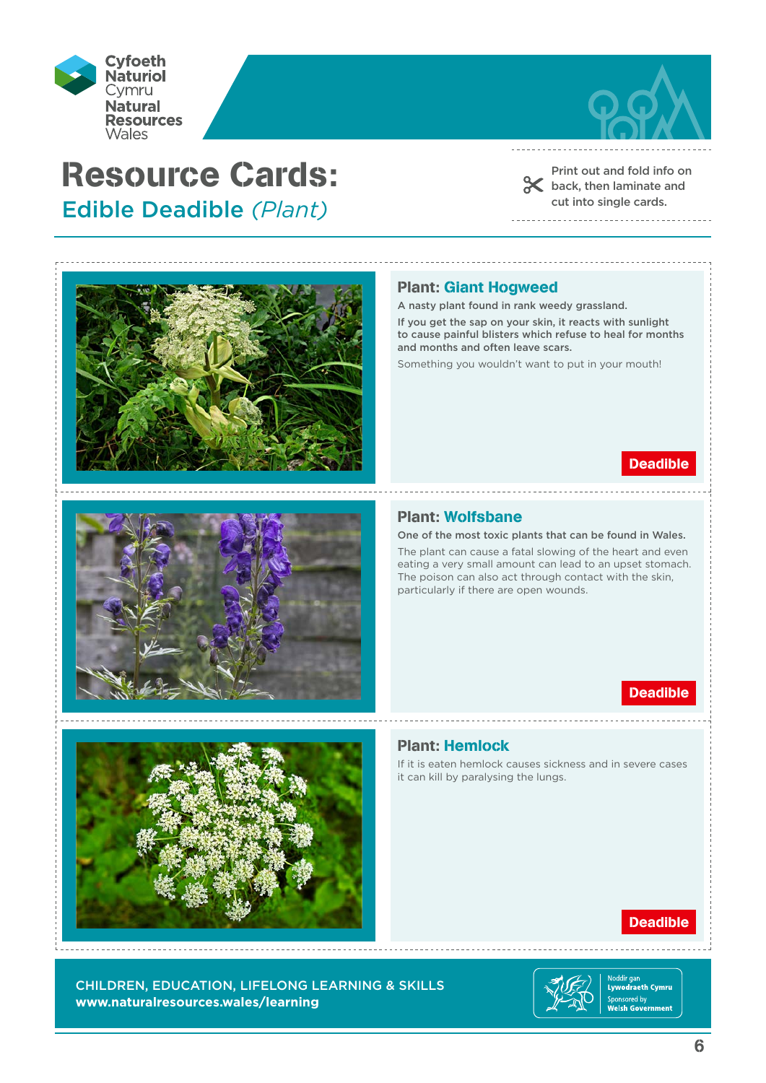



Print out and fold info on shack, then laminate and cut into single cards.





## Plant: Giant Hogweed

A nasty plant found in rank weedy grassland.

If you get the sap on your skin, it reacts with sunlight to cause painful blisters which refuse to heal for months and months and often leave scars.

Something you wouldn't want to put in your mouth!

## Deadible

### Plant: Wolfsbane

One of the most toxic plants that can be found in Wales.

The plant can cause a fatal slowing of the heart and even eating a very small amount can lead to an upset stomach. The poison can also act through contact with the skin, particularly if there are open wounds.

# Deadible



#### Plant: Hemlock

If it is eaten hemlock causes sickness and in severe cases it can kill by paralysing the lungs.

## Deadible

CHILDREN, EDUCATION, LIFELONG LEARNING & SKILLS **www.naturalresources.wales/learning**



ldir gar ivoddir gan<br>Lywodraeth Cymru Sponsored by<br>Welsh Government